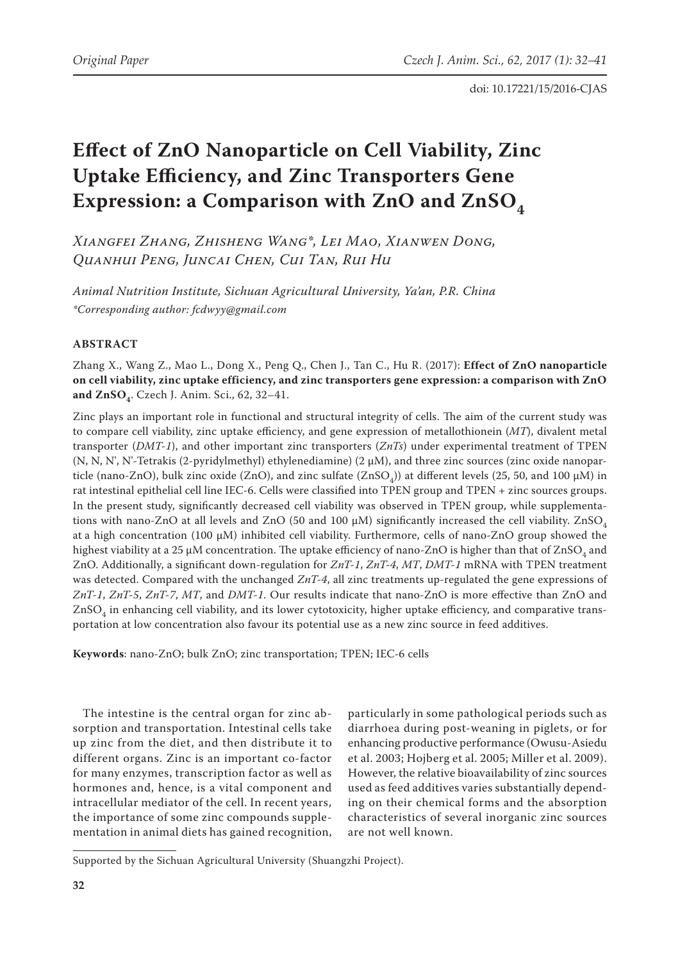# **Effect of ZnO Nanoparticle on Cell Viability, Zinc Uptake Efficiency, and Zinc Transporters Gene Expression: a Comparison with ZnO and ZnSO4**

*Xiangfei Zhang, Zhisheng Wang\*, Lei Mao, Xianwen Dong, Quanhui Peng, Juncai Chen, Cui Tan, Rui Hu*

*Animal Nutrition Institute, Sichuan Agricultural University, Ya'an, P.R. China \*Corresponding author: fcdwyy@gmail.com*

## **ABSTRACT**

Zhang X., Wang Z., Mao L., Dong X., Peng Q., Chen J., Tan C., Hu R. (2017): **Effect of ZnO nanoparticle on cell viability, zinc uptake efficiency, and zinc transporters gene expression: a comparison with ZnO and ZnSO4**. Czech J. Anim. Sci., 62, 32–41.

Zinc plays an important role in functional and structural integrity of cells. The aim of the current study was to compare cell viability, zinc uptake efficiency, and gene expression of metallothionein (*MT*), divalent metal transporter (*DMT-1*), and other important zinc transporters (*ZnTs*) under experimental treatment of TPEN  $(N, N, N', N'-T$ etrakis (2-pyridylmethyl) ethylenediamine) (2  $\mu$ M), and three zinc sources (zinc oxide nanoparticle (nano-ZnO), bulk zinc oxide (ZnO), and zinc sulfate (ZnSO<sub>4</sub>)) at different levels (25, 50, and 100  $\mu$ M) in rat intestinal epithelial cell line IEC-6. Cells were classified into TPEN group and TPEN + zinc sources groups. In the present study, significantly decreased cell viability was observed in TPEN group, while supplementations with nano-ZnO at all levels and ZnO (50 and 100  $\mu$ M) significantly increased the cell viability. ZnSO<sub>4</sub> at a high concentration (100  $\mu$ M) inhibited cell viability. Furthermore, cells of nano-ZnO group showed the highest viability at a 25 µM concentration. The uptake efficiency of nano-ZnO is higher than that of  $ZnSO<sub>4</sub>$  and ZnO. Additionally, a significant down-regulation for *ZnT-1*, *ZnT-4*, *MT*, *DMT-1* mRNA with TPEN treatment was detected. Compared with the unchanged *ZnT-4*, all zinc treatments up-regulated the gene expressions of *ZnT-1*, *ZnT-5*, *ZnT-7*, *MT*, and *DMT-1*. Our results indicate that nano-ZnO is more effective than ZnO and  $ZnSO<sub>4</sub>$  in enhancing cell viability, and its lower cytotoxicity, higher uptake efficiency, and comparative transportation at low concentration also favour its potential use as a new zinc source in feed additives.

**Keywords**: nano-ZnO; bulk ZnO; zinc transportation; TPEN; IEC-6 cells

The intestine is the central organ for zinc absorption and transportation. Intestinal cells take up zinc from the diet, and then distribute it to different organs. Zinc is an important co-factor for many enzymes, transcription factor as well as hormones and, hence, is a vital component and intracellular mediator of the cell. In recent years, the importance of some zinc compounds supplementation in animal diets has gained recognition,

particularly in some pathological periods such as diarrhoea during post-weaning in piglets, or for enhancing productive performance (Owusu-Asiedu et al. 2003; Hojberg et al. 2005; Miller et al. 2009). However, the relative bioavailability of zinc sources used as feed additives varies substantially depending on their chemical forms and the absorption characteristics of several inorganic zinc sources are not well known.

Supported by the Sichuan Agricultural University (Shuangzhi Project).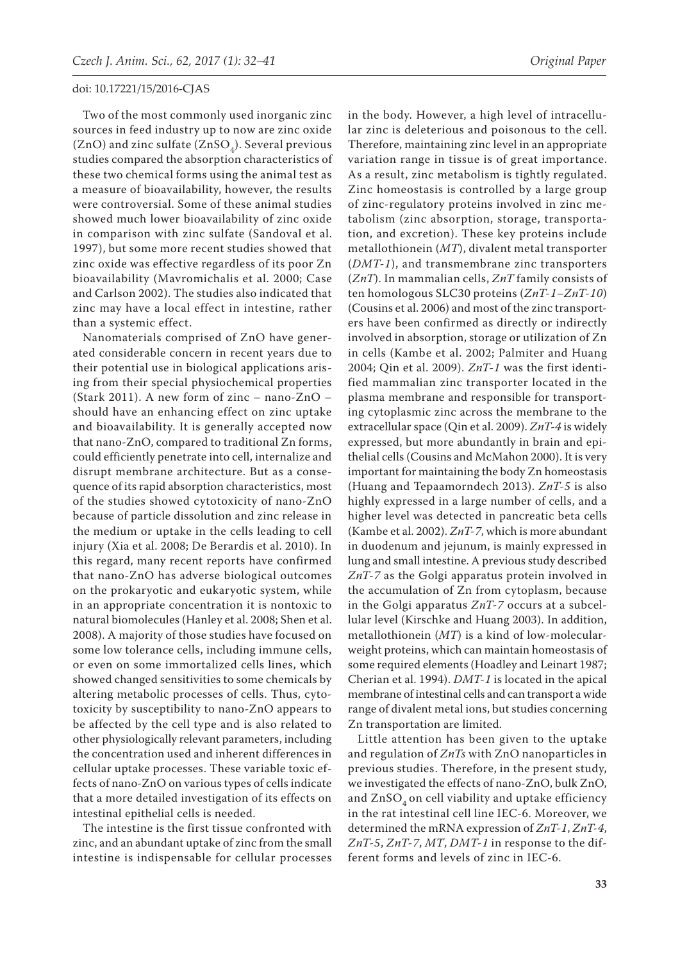Two of the most commonly used inorganic zinc sources in feed industry up to now are zinc oxide  $(ZnO)$  and zinc sulfate  $(ZnSO<sub>A</sub>)$ . Several previous studies compared the absorption characteristics of these two chemical forms using the animal test as a measure of bioavailability, however, the results were controversial. Some of these animal studies showed much lower bioavailability of zinc oxide in comparison with zinc sulfate (Sandoval et al. 1997), but some more recent studies showed that zinc oxide was effective regardless of its poor Zn bioavailability (Mavromichalis et al. 2000; Case and Carlson 2002). The studies also indicated that zinc may have a local effect in intestine, rather than a systemic effect.

Nanomaterials comprised of ZnO have generated considerable concern in recent years due to their potential use in biological applications arising from their special physiochemical properties (Stark 2011). A new form of zinc – nano-ZnO – should have an enhancing effect on zinc uptake and bioavailability. It is generally accepted now that nano-ZnO, compared to traditional Zn forms, could efficiently penetrate into cell, internalize and disrupt membrane architecture. But as a consequence of its rapid absorption characteristics, most of the studies showed cytotoxicity of nano-ZnO because of particle dissolution and zinc release in the medium or uptake in the cells leading to cell injury (Xia et al. 2008; De Berardis et al. 2010). In this regard, many recent reports have confirmed that nano-ZnO has adverse biological outcomes on the prokaryotic and eukaryotic system, while in an appropriate concentration it is nontoxic to natural biomolecules (Hanley et al. 2008; Shen et al. 2008). A majority of those studies have focused on some low tolerance cells, including immune cells, or even on some immortalized cells lines, which showed changed sensitivities to some chemicals by altering metabolic processes of cells. Thus, cytotoxicity by susceptibility to nano-ZnO appears to be affected by the cell type and is also related to other physiologically relevant parameters, including the concentration used and inherent differences in cellular uptake processes. These variable toxic effects of nano-ZnO on various types of cells indicate that a more detailed investigation of its effects on intestinal epithelial cells is needed.

The intestine is the first tissue confronted with zinc, and an abundant uptake of zinc from the small intestine is indispensable for cellular processes

in the body. However, a high level of intracellular zinc is deleterious and poisonous to the cell. Therefore, maintaining zinc level in an appropriate variation range in tissue is of great importance. As a result, zinc metabolism is tightly regulated. Zinc homeostasis is controlled by a large group of zinc-regulatory proteins involved in zinc metabolism (zinc absorption, storage, transportation, and excretion). These key proteins include metallothionein (*MT*), divalent metal transporter (*DMT-1*), and transmembrane zinc transporters (*ZnT*). In mammalian cells, *ZnT* family consists of ten homologous SLC30 proteins (*ZnT-1–ZnT-10*) (Cousins et al. 2006) and most of the zinc transporters have been confirmed as directly or indirectly involved in absorption, storage or utilization of Zn in cells (Kambe et al. 2002; Palmiter and Huang 2004; Qin et al. 2009). *ZnT-1* was the first identified mammalian zinc transporter located in the plasma membrane and responsible for transporting cytoplasmic zinc across the membrane to the extracellular space (Qin et al. 2009). *ZnT-4* is widely expressed, but more abundantly in brain and epithelial cells (Cousins and McMahon 2000). It is very important for maintaining the body Zn homeostasis (Huang and Tepaamorndech 2013). *ZnT-5* is also highly expressed in a large number of cells, and a higher level was detected in pancreatic beta cells (Kambe et al. 2002). *ZnT-7*, which is more abundant in duodenum and jejunum, is mainly expressed in lung and small intestine. A previous study described *ZnT-7* as the Golgi apparatus protein involved in the accumulation of Zn from cytoplasm, because in the Golgi apparatus *ZnT-7* occurs at a subcellular level (Kirschke and Huang 2003). In addition, metallothionein (*MT*) is a kind of low-molecularweight proteins, which can maintain homeostasis of some required elements (Hoadley and Leinart 1987; Cherian et al. 1994). *DMT-1* is located in the apical membrane of intestinal cells and can transport a wide range of divalent metal ions, but studies concerning Zn transportation are limited.

Little attention has been given to the uptake and regulation of *ZnTs* with ZnO nanoparticles in previous studies. Therefore, in the present study, we investigated the effects of nano-ZnO, bulk ZnO, and  $ZnSO<sub>4</sub>$  on cell viability and uptake efficiency in the rat intestinal cell line IEC-6. Moreover, we determined the mRNA expression of *ZnT-1*, *ZnT-4*, *ZnT-5*, *ZnT-7*, *MT*, *DMT-1* in response to the different forms and levels of zinc in IEC-6.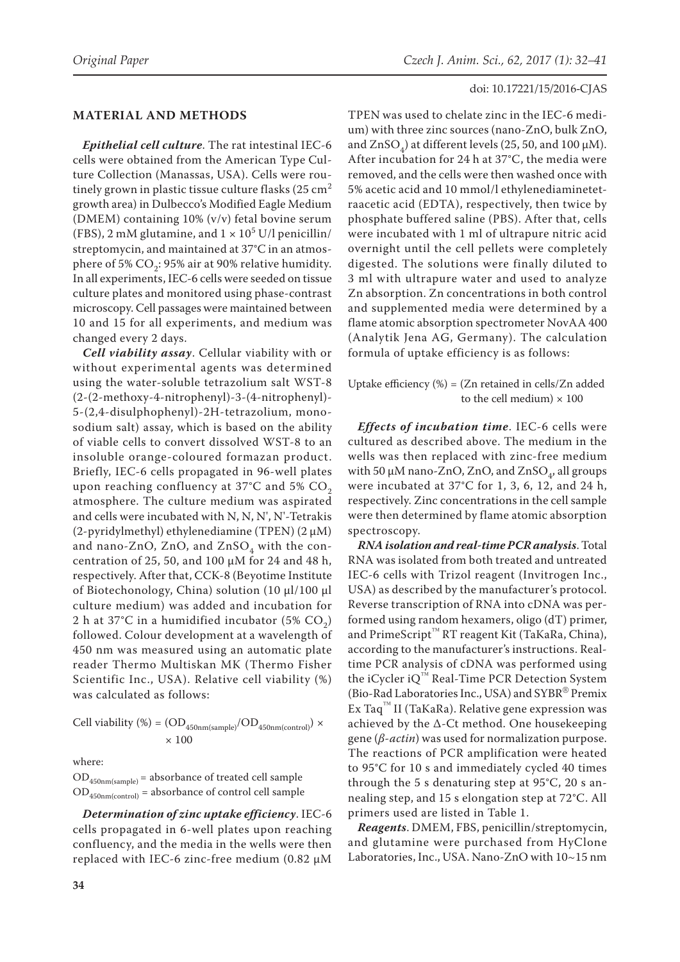**MATERIAL AND METHODS** 

# doi: 10.17221/15/2016-CJAS

*Epithelial cell culture*. The rat intestinal IEC-6 cells were obtained from the American Type Culture Collection (Manassas, USA). Cells were routinely grown in plastic tissue culture flasks ( $25 \text{ cm}^2$ ) growth area) in Dulbecco's Modified Eagle Medium (DMEM) containing 10% (v/v) fetal bovine serum (FBS), 2 mM glutamine, and  $1 \times 10^5$  U/l penicillin/ streptomycin, and maintained at 37°C in an atmosphere of 5%  $CO<sub>2</sub>$ : 95% air at 90% relative humidity. In all experiments, IEC-6 cells were seeded on tissue culture plates and monitored using phase-contrast microscopy. Cell passages were maintained between 10 and 15 for all experiments, and medium was changed every 2 days.

*Cell viability assay*. Cellular viability with or without experimental agents was determined using the water-soluble tetrazolium salt WST-8 (2-(2-methoxy-4-nitrophenyl)-3-(4-nitrophenyl)- 5-(2,4-disulphophenyl)-2H-tetrazolium, monosodium salt) assay, which is based on the ability of viable cells to convert dissolved WST-8 to an insoluble orange-coloured formazan product. Briefly, IEC-6 cells propagated in 96-well plates upon reaching confluency at  $37^{\circ}$ C and  $5\%$  CO<sub>2</sub> atmosphere. The culture medium was aspirated and cells were incubated with N, N, N', N'-Tetrakis (2-pyridylmethyl) ethylenediamine (TPEN)  $(2 \mu M)$ and nano-ZnO, ZnO, and  $ZnSO<sub>4</sub>$  with the concentration of 25, 50, and 100  $\mu$ M for 24 and 48 h, respectively. After that, CCK-8 (Beyotime Institute of Biotechonology, China) solution (10 µl/100 µl culture medium) was added and incubation for 2 h at 37°C in a humidified incubator  $(5\%$  CO<sub>2</sub>) followed. Colour development at a wavelength of 450 nm was measured using an automatic plate reader Thermo Multiskan MK (Thermo Fisher Scientific Inc., USA). Relative cell viability (%) was calculated as follows:

Cell viability (%) =  $OD_{450nm(sample)}/OD_{450nm(control)}) \times$ × 100

where:

 $OD_{450nm(sample)} = absorbance of treated cell sample$  $OD_{450nm(control)} =$  absorbance of control cell sample

*Determination of zinc uptake efficiency*. IEC-6 cells propagated in 6-well plates upon reaching confluency, and the media in the wells were then replaced with IEC-6 zinc-free medium (0.82 µM

TPEN was used to chelate zinc in the IEC-6 medium) with three zinc sources (nano-ZnO, bulk ZnO, and  $ZnSO<sub>A</sub>$ ) at different levels (25, 50, and 100  $\mu$ M). After incubation for 24 h at 37°C, the media were removed, and the cells were then washed once with 5% acetic acid and 10 mmol/l ethylenediaminetetraacetic acid (EDTA), respectively, then twice by phosphate buffered saline (PBS). After that, cells were incubated with 1 ml of ultrapure nitric acid overnight until the cell pellets were completely digested. The solutions were finally diluted to 3 ml with ultrapure water and used to analyze Zn absorption. Zn concentrations in both control and supplemented media were determined by a flame atomic absorption spectrometer NovAA 400 (Analytik Jena AG, Germany). The calculation formula of uptake efficiency is as follows:

## Uptake efficiency  $\left(\% \right) = \left( \text{Zn retained in cells} / \text{Zn added} \right)$ to the cell medium)  $\times$  100

*Effects of incubation time*. IEC-6 cells were cultured as described above. The medium in the wells was then replaced with zinc-free medium with 50  $\mu$ M nano-ZnO, ZnO, and ZnSO<sub>4</sub>, all groups were incubated at 37°C for 1, 3, 6, 12, and 24 h, respectively. Zinc concentrations in the cell sample were then determined by flame atomic absorption spectroscopy.

*RNA isolation and real-time PCR analysis*. Total RNA was isolated from both treated and untreated IEC-6 cells with Trizol reagent (Invitrogen Inc., USA) as described by the manufacturer's protocol. Reverse transcription of RNA into cDNA was performed using random hexamers, oligo (dT) primer, and PrimeScript™ RT reagent Kit (TaKaRa, China), according to the manufacturer's instructions. Realtime PCR analysis of cDNA was performed using the iCycler iQ™ Real-Time PCR Detection System (Bio-Rad Laboratories Inc., USA) and SYBR® Premix Ex Taq<sup>™</sup> II (TaKaRa). Relative gene expression was achieved by the Δ-Ct method. One housekeeping gene (*β-actin*) was used for normalization purpose. The reactions of PCR amplification were heated to 95°C for 10 s and immediately cycled 40 times through the 5 s denaturing step at 95°C, 20 s annealing step, and 15 s elongation step at 72°C. All primers used are listed in Table 1.

*Reagents*. DMEM, FBS, penicillin/streptomycin, and glutamine were purchased from HyClone Laboratories, Inc., USA. Nano-ZnO with 10~15 nm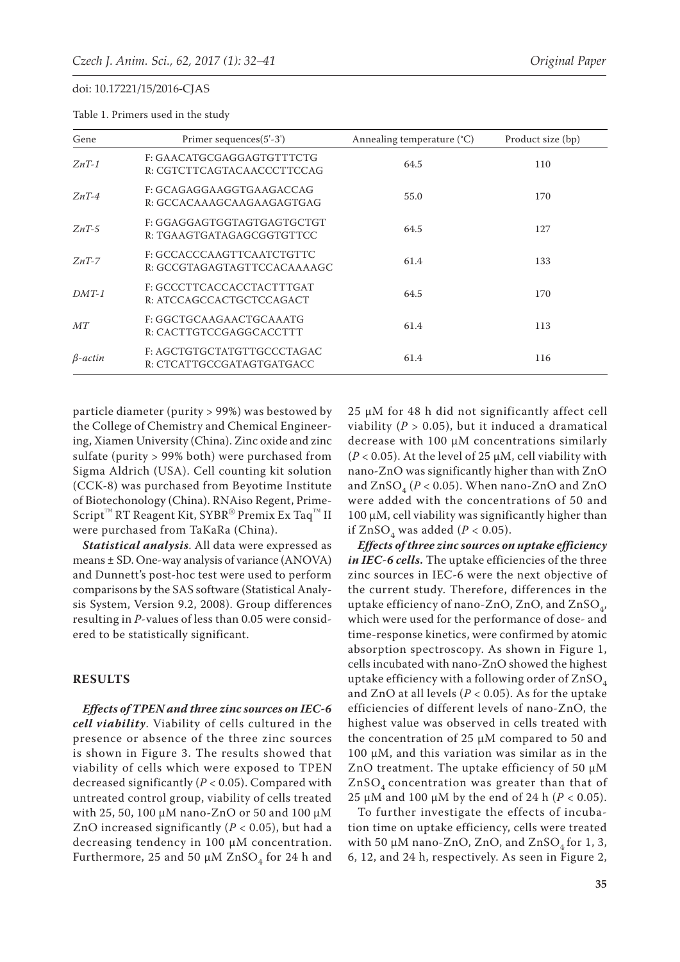Table 1. Primers used in the study

| Gene    | Primer sequences(5'-3')                                  | Annealing temperature (°C) | Product size (bp) |
|---------|----------------------------------------------------------|----------------------------|-------------------|
| $ZnT-1$ | F: GAACATGCGAGGAGTGTTTCTG<br>R: CGTCTTCAGTACAACCCTTCCAG  | 64.5                       | 110               |
| $ZnT-4$ | F: GCAGAGGAAGGTGAAGACCAG<br>R: GCCACAAAGCAAGAAGAGTGAG    | 55.0                       | 170               |
| $ZnT-5$ | F: GGAGGAGTGGTAGTGAGTGCTGT<br>R: TGAAGTGATAGAGCGGTGTTCC  | 64.5                       | 127               |
| $ZnT-7$ | F: GCCACCCAAGTTCAATCTGTTC<br>R: GCCGTAGAGTAGTTCCACAAAAGC | 61.4                       | 133               |
| DMT-1   | F: GCCCTTCACCACCTACTTTGAT<br>R: ATCCAGCCACTGCTCCAGACT    | 64.5                       | 170               |
| МT      | F: GGCTGCAAGAACTGCAAATG<br>R: CACTTGTCCGAGGCACCTTT       | 61.4                       | 113               |
| β-actin | F: AGCTGTGCTATGTTGCCCTAGAC<br>R: CTCATTGCCGATAGTGATGACC  | 61.4                       | 116               |

particle diameter (purity > 99%) was bestowed by the College of Chemistry and Chemical Engineering, Xiamen University (China). Zinc oxide and zinc sulfate (purity > 99% both) were purchased from Sigma Aldrich (USA). Cell counting kit solution (CCK-8) was purchased from Beyotime Institute of Biotechonology (China). RNAiso Regent, Prime- $\operatorname{Script}^{\mathbb{M}}$ RT Reagent Kit, $\operatorname{SYBR}^{\circledR}$  Premix Ex $\operatorname{Taq}^{\mathbb{M}}$ II were purchased from TaKaRa (China).

*Statistical analysis*. All data were expressed as means ± SD. One-way analysis of variance (ANOVA) and Dunnett's post-hoc test were used to perform comparisons by the SAS software (Statistical Analysis System, Version 9.2, 2008). Group differences resulting in *P*-values of less than 0.05 were considered to be statistically significant.

#### **RESULTS**

*Effects of TPEN and three zinc sources on IEC-6 cell viability*. Viability of cells cultured in the presence or absence of the three zinc sources is shown in Figure 3. The results showed that viability of cells which were exposed to TPEN decreased significantly (*P* < 0.05). Compared with untreated control group, viability of cells treated with 25, 50, 100 µM nano-ZnO or 50 and 100 µM ZnO increased significantly ( $P < 0.05$ ), but had a decreasing tendency in 100 µM concentration. Furthermore, 25 and 50  $\mu$ M ZnSO<sub>4</sub> for 24 h and 25 µM for 48 h did not significantly affect cell viability ( $P > 0.05$ ), but it induced a dramatical decrease with 100 µM concentrations similarly ( $P < 0.05$ ). At the level of 25  $\mu$ M, cell viability with nano-ZnO was significantly higher than with ZnO and  $ZnSO_4$  ( $P < 0.05$ ). When nano-ZnO and ZnO were added with the concentrations of 50 and 100 µM, cell viability was significantly higher than if  $ZnSO_4$  was added ( $P < 0.05$ ).

*Effects of three zinc sources on uptake efficiency in IEC-6 cells.* The uptake efficiencies of the three zinc sources in IEC-6 were the next objective of the current study. Therefore, differences in the uptake efficiency of nano-ZnO, ZnO, and  $ZnSO<sub>a</sub>$ , which were used for the performance of dose- and time-response kinetics, were confirmed by atomic absorption spectroscopy. As shown in Figure 1, cells incubated with nano-ZnO showed the highest uptake efficiency with a following order of  $ZnSO<sub>4</sub>$ and ZnO at all levels (*P* < 0.05). As for the uptake efficiencies of different levels of nano-ZnO, the highest value was observed in cells treated with the concentration of 25  $\mu$ M compared to 50 and 100  $\mu$ M, and this variation was similar as in the ZnO treatment. The uptake efficiency of 50 µM  $ZnSO<sub>4</sub>$  concentration was greater than that of 25 µM and 100 µM by the end of 24 h (*P* < 0.05).

To further investigate the effects of incubation time on uptake efficiency, cells were treated with 50  $\mu$ M nano-ZnO, ZnO, and ZnSO<sub>4</sub> for 1, 3, 6, 12, and 24 h, respectively. As seen in Figure 2,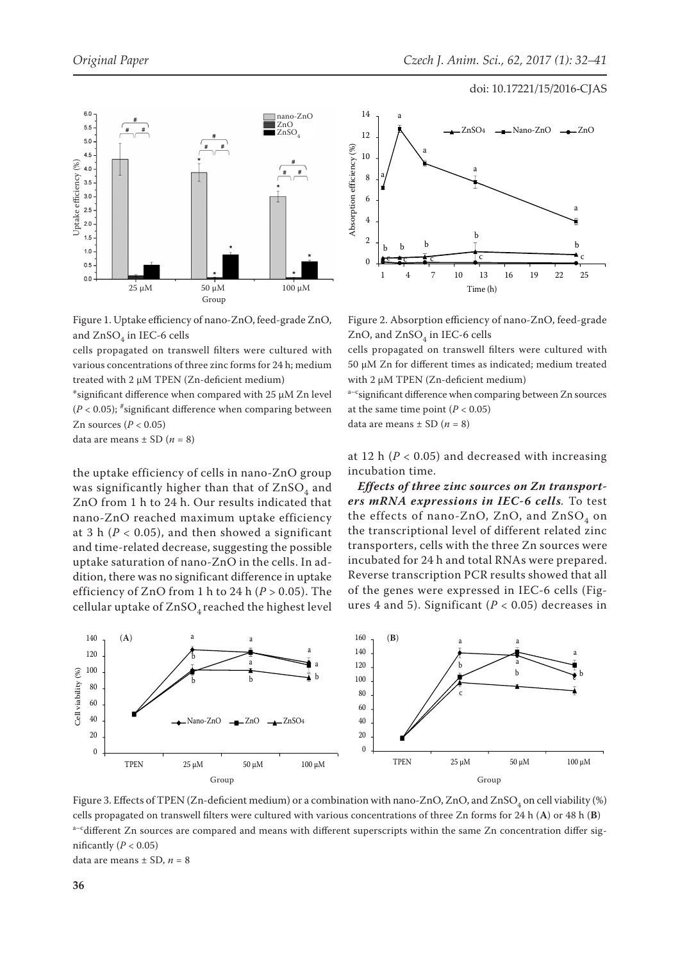

Figure 1. Uptake efficiency of nano-ZnO, feed-grade ZnO, and  $ZnSO<sub>A</sub>$  in IEC-6 cells

cells propagated on transwell filters were cultured with various concentrations of three zinc forms for 24 h; medium treated with 2 µM TPEN (Zn-deficient medium)

\*significant difference when compared with 25 µM Zn level  $(P < 0.05)$ ;  $\text{*}$  significant difference when comparing between Zn sources (*P* < 0.05)

data are means  $\pm$  SD ( $n = 8$ )

the uptake efficiency of cells in nano-ZnO group was significantly higher than that of  $ZnSO<sub>4</sub>$  and ZnO from 1 h to 24 h. Our results indicated that nano-ZnO reached maximum uptake efficiency at 3 h  $(P < 0.05)$ , and then showed a significant and time-related decrease, suggesting the possible uptake saturation of nano-ZnO in the cells. In addition, there was no significant difference in uptake efficiency of ZnO from 1 h to 24 h ( $P > 0.05$ ). The cellular uptake of  $ZnSO<sub>4</sub>$  reached the highest level



Figure 2. Absorption efficiency of nano-ZnO, feed-grade ZnO, and  $ZnSO<sub>4</sub>$  in IEC-6 cells

cells propagated on transwell filters were cultured with 50 µM Zn for different times as indicated; medium treated with 2 µM TPEN (Zn-deficient medium)

a<sup>-c</sup>significant difference when comparing between Zn sources at the same time point  $(P < 0.05)$ 

data are means  $\pm$  SD ( $n = 8$ )

at 12 h  $(P < 0.05)$  and decreased with increasing incubation time.

*Effects of three zinc sources on Zn transporters mRNA expressions in IEC-6 cells.* To test the effects of nano-ZnO, ZnO, and  $ZnSO<sub>4</sub>$  on the transcriptional level of different related zinc transporters, cells with the three Zn sources were incubated for 24 h and total RNAs were prepared. Reverse transcription PCR results showed that all of the genes were expressed in IEC-6 cells (Figures 4 and 5). Significant  $(P < 0.05)$  decreases in

Nano-ZnO ZnO ZnSO4



Figure 3. Effects of TPEN (Zn-deficient medium) or a combination with nano-ZnO, ZnO, and ZnSO<sub>4</sub> on cell viability (%) cells propagated on transwell filters were cultured with various concentrations of three Zn forms for 24 h (**A**) or 48 h (**B**)  $a-c$  different Zn sources are compared and means with different superscripts within the same Zn concentration differ significantly  $(P < 0.05)$ data are means  $\pm$  SD,  $n = 8$ 

**36**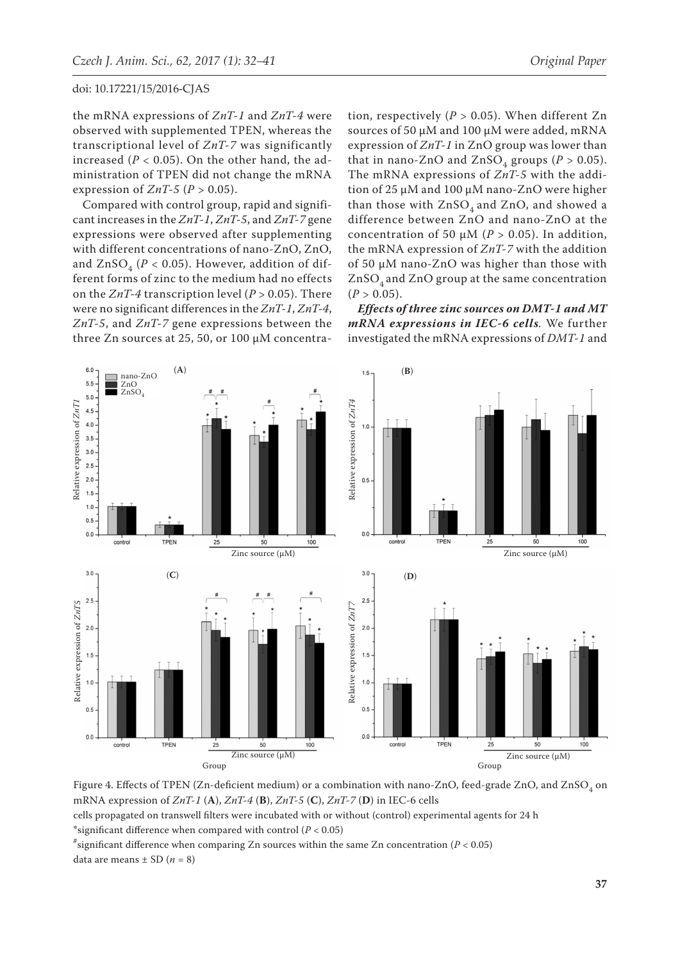the mRNA expressions of *ZnT-1* and *ZnT-4* were observed with supplemented TPEN, whereas the transcriptional level of *ZnT-7* was significantly increased  $(P < 0.05)$ . On the other hand, the administration of TPEN did not change the mRNA expression of  $ZnT-5$  ( $P > 0.05$ ).

Compared with control group, rapid and significant increases in the *ZnT-1*, *ZnT-5*, and *ZnT-7* gene expressions were observed after supplementing with different concentrations of nano-ZnO, ZnO, and  $ZnSO<sub>4</sub>$  ( $P < 0.05$ ). However, addition of different forms of zinc to the medium had no effects on the  $ZnT-4$  transcription level ( $P > 0.05$ ). There were no significant differences in the *ZnT-1*, *ZnT-4*, *ZnT-5*, and *ZnT-7* gene expressions between the three Zn sources at 25, 50, or 100 µM concentra-

tion, respectively  $(P > 0.05)$ . When different Zn sources of 50  $\mu$ M and 100  $\mu$ M were added, mRNA expression of *ZnT-1* in ZnO group was lower than that in nano-ZnO and  $ZnSO_4$  groups ( $P > 0.05$ ). The mRNA expressions of *ZnT-5* with the addition of 25 µM and 100 µM nano-ZnO were higher than those with  $ZnSO_4$  and  $ZnO$ , and showed a difference between ZnO and nano-ZnO at the concentration of 50  $\mu$ M (*P* > 0.05). In addition, the mRNA expression of *ZnT-7* with the addition of 50 µM nano-ZnO was higher than those with  $ZnSO<sub>4</sub>$  and  $ZnO$  group at the same concentration  $(P > 0.05)$ .

*Effects of three zinc sources on DMT-1 and MT mRNA expressions in IEC-6 cells.* We further investigated the mRNA expressions of *DMT-1* and



Figure 4. Effects of TPEN (Zn-deficient medium) or a combination with nano-ZnO, feed-grade ZnO, and ZnSO<sub>4</sub> on mRNA expression of *ZnT-1* (**A**), *ZnT-4* (**B**), *ZnT-5* (**C**), *ZnT-7* (**D**) in IEC-6 cells cells propagated on transwell filters were incubated with or without (control) experimental agents for 24 h \*significant difference when compared with control (*P* < 0.05)

# significant difference when comparing Zn sources within the same Zn concentration (*P* < 0.05)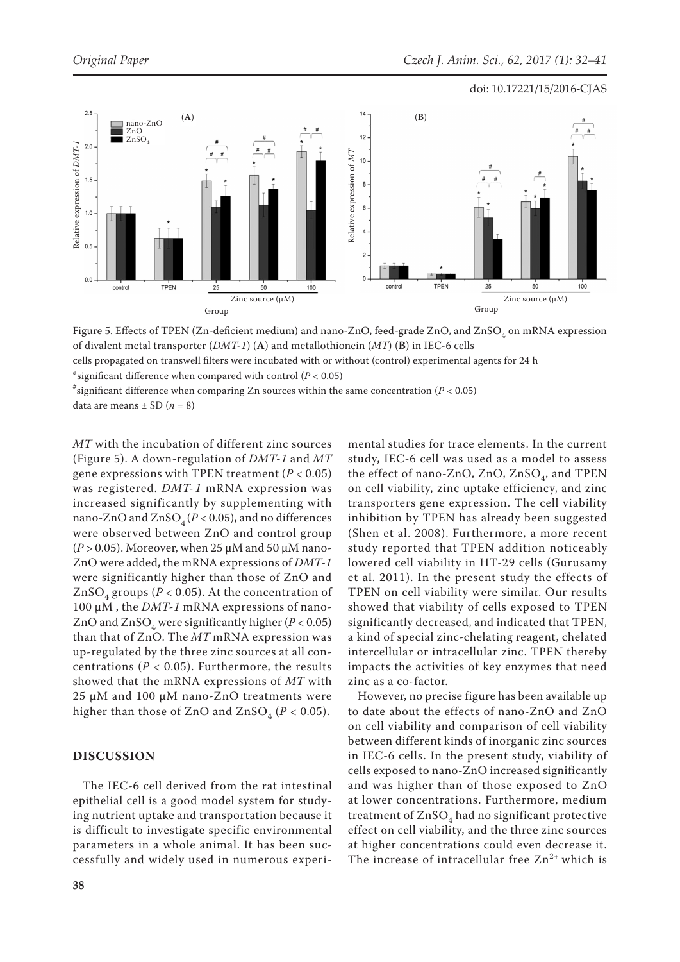

Figure 5. Effects of TPEN (Zn-deficient medium) and nano-ZnO, feed-grade ZnO, and ZnSO<sub>4</sub> on mRNA expression of divalent metal transporter (*DMT-1*) (**A**) and metallothionein (*MT*) (**B**) in IEC-6 cells

cells propagated on transwell filters were incubated with or without (control) experimental agents for 24 h \*significant difference when compared with control (*P* < 0.05)

 $^{\#}$ significant difference when comparing Zn sources within the same concentration ( $P$  < 0.05)

*MT* with the incubation of different zinc sources (Figure 5). A down-regulation of *DMT-1* and *MT* gene expressions with TPEN treatment (*P* < 0.05) was registered. *DMT-1* mRNA expression was increased significantly by supplementing with nano-ZnO and  $ZnSO<sub>4</sub>(P<0.05)$ , and no differences were observed between ZnO and control group ( $P > 0.05$ ). Moreover, when 25  $\mu$ M and 50  $\mu$ M nano-ZnO were added, the mRNA expressions of *DMT-1* were significantly higher than those of ZnO and ZnSO<sub>4</sub> groups ( $P < 0.05$ ). At the concentration of 100 µM , the *DMT-1* mRNA expressions of nano-ZnO and  $ZnSO_4$  were significantly higher ( $P < 0.05$ ) than that of ZnO. The *MT* mRNA expression was up-regulated by the three zinc sources at all concentrations ( $P < 0.05$ ). Furthermore, the results showed that the mRNA expressions of *MT* with 25 µM and 100 µM nano-ZnO treatments were higher than those of ZnO and  $ZnSO<sub>4</sub>$  ( $P < 0.05$ ).

## **DISCUSSION**

The IEC-6 cell derived from the rat intestinal epithelial cell is a good model system for studying nutrient uptake and transportation because it is difficult to investigate specific environmental parameters in a whole animal. It has been successfully and widely used in numerous experi-

mental studies for trace elements. In the current study, IEC-6 cell was used as a model to assess the effect of nano-ZnO, ZnO,  $ZnSO<sub>a</sub>$ , and TPEN on cell viability, zinc uptake efficiency, and zinc transporters gene expression. The cell viability inhibition by TPEN has already been suggested (Shen et al. 2008). Furthermore, a more recent study reported that TPEN addition noticeably lowered cell viability in HT-29 cells (Gurusamy et al. 2011). In the present study the effects of TPEN on cell viability were similar. Our results showed that viability of cells exposed to TPEN significantly decreased, and indicated that TPEN, a kind of special zinc-chelating reagent, chelated intercellular or intracellular zinc. TPEN thereby impacts the activities of key enzymes that need zinc as a co-factor.

However, no precise figure has been available up to date about the effects of nano-ZnO and ZnO on cell viability and comparison of cell viability between different kinds of inorganic zinc sources in IEC-6 cells. In the present study, viability of cells exposed to nano-ZnO increased significantly and was higher than of those exposed to ZnO at lower concentrations. Furthermore, medium treatment of  $ZnSO_4$  had no significant protective effect on cell viability, and the three zinc sources at higher concentrations could even decrease it. The increase of intracellular free  $Zn^{2+}$  which is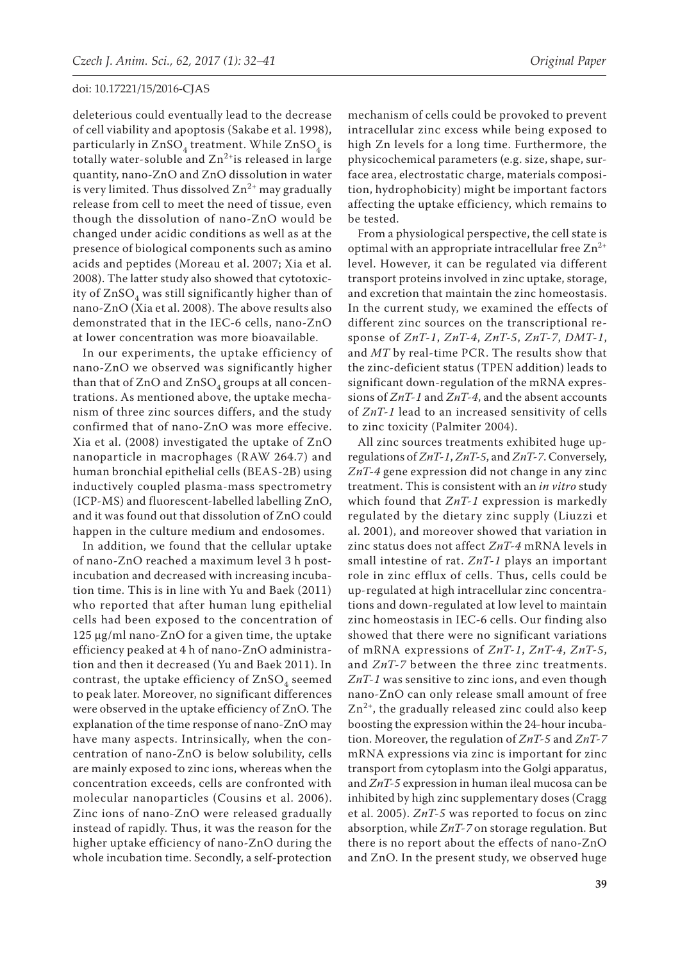deleterious could eventually lead to the decrease of cell viability and apoptosis (Sakabe et al. 1998), particularly in  $ZnSO_4$  treatment. While  $ZnSO_4$  is totally water-soluble and  $Zn^{2+}$ is released in large quantity, nano-ZnO and ZnO dissolution in water is very limited. Thus dissolved  $\text{Zn}^{2+}$  may gradually release from cell to meet the need of tissue, even though the dissolution of nano-ZnO would be changed under acidic conditions as well as at the presence of biological components such as amino acids and peptides (Moreau et al. 2007; Xia et al. 2008). The latter study also showed that cytotoxicity of  $ZnSO<sub>4</sub>$  was still significantly higher than of nano-ZnO (Xia et al. 2008). The above results also demonstrated that in the IEC-6 cells, nano-ZnO at lower concentration was more bioavailable.

In our experiments, the uptake efficiency of nano-ZnO we observed was significantly higher than that of  $ZnO$  and  $ZnSO<sub>4</sub>$  groups at all concentrations. As mentioned above, the uptake mechanism of three zinc sources differs, and the study confirmed that of nano-ZnO was more effecive. Xia et al. (2008) investigated the uptake of ZnO nanoparticle in macrophages (RAW 264.7) and human bronchial epithelial cells (BEAS-2B) using inductively coupled plasma-mass spectrometry (ICP-MS) and fluorescent-labelled labelling ZnO, and it was found out that dissolution of ZnO could happen in the culture medium and endosomes.

In addition, we found that the cellular uptake of nano-ZnO reached a maximum level 3 h postincubation and decreased with increasing incubation time. This is in line with Yu and Baek (2011) who reported that after human lung epithelial cells had been exposed to the concentration of 125 μg/ml nano-ZnO for a given time, the uptake efficiency peaked at 4 h of nano-ZnO administration and then it decreased (Yu and Baek 2011). In contrast, the uptake efficiency of  $ZnSO<sub>4</sub>$  seemed to peak later. Moreover, no significant differences were observed in the uptake efficiency of ZnO. The explanation of the time response of nano-ZnO may have many aspects. Intrinsically, when the concentration of nano-ZnO is below solubility, cells are mainly exposed to zinc ions, whereas when the concentration exceeds, cells are confronted with molecular nanoparticles (Cousins et al. 2006). Zinc ions of nano-ZnO were released gradually instead of rapidly. Thus, it was the reason for the higher uptake efficiency of nano-ZnO during the whole incubation time. Secondly, a self-protection

mechanism of cells could be provoked to prevent intracellular zinc excess while being exposed to high Zn levels for a long time. Furthermore, the physicochemical parameters (e.g. size, shape, surface area, electrostatic charge, materials composition, hydrophobicity) might be important factors affecting the uptake efficiency, which remains to be tested.

From a physiological perspective, the cell state is optimal with an appropriate intracellular free  $Zn^{2+}$ level. However, it can be regulated via different transport proteins involved in zinc uptake, storage, and excretion that maintain the zinc homeostasis. In the current study, we examined the effects of different zinc sources on the transcriptional response of *ZnT-1*, *ZnT-4*, *ZnT-5*, *ZnT-7*, *DMT-1*, and *MT* by real-time PCR. The results show that the zinc-deficient status (TPEN addition) leads to significant down-regulation of the mRNA expressions of *ZnT-1* and *ZnT-4*, and the absent accounts of *ZnT-1* lead to an increased sensitivity of cells to zinc toxicity (Palmiter 2004).

All zinc sources treatments exhibited huge upregulations of *ZnT-1*, *ZnT-5*, and *ZnT-7*. Conversely, *ZnT-4* gene expression did not change in any zinc treatment. This is consistent with an *in vitro* study which found that *ZnT-1* expression is markedly regulated by the dietary zinc supply (Liuzzi et al. 2001), and moreover showed that variation in zinc status does not affect *ZnT-4* mRNA levels in small intestine of rat. *ZnT-1* plays an important role in zinc efflux of cells. Thus, cells could be up-regulated at high intracellular zinc concentrations and down-regulated at low level to maintain zinc homeostasis in IEC-6 cells. Our finding also showed that there were no significant variations of mRNA expressions of *ZnT-1*, *ZnT-4*, *ZnT-5*, and *ZnT-7* between the three zinc treatments. *ZnT-1* was sensitive to zinc ions, and even though nano-ZnO can only release small amount of free  $Zn^{2+}$ , the gradually released zinc could also keep boosting the expression within the 24-hour incubation. Moreover, the regulation of *ZnT-5* and *ZnT-7* mRNA expressions via zinc is important for zinc transport from cytoplasm into the Golgi apparatus, and *ZnT-5* expression in human ileal mucosa can be inhibited by high zinc supplementary doses (Cragg et al. 2005). *ZnT-5* was reported to focus on zinc absorption, while *ZnT-7* on storage regulation. But there is no report about the effects of nano-ZnO and ZnO. In the present study, we observed huge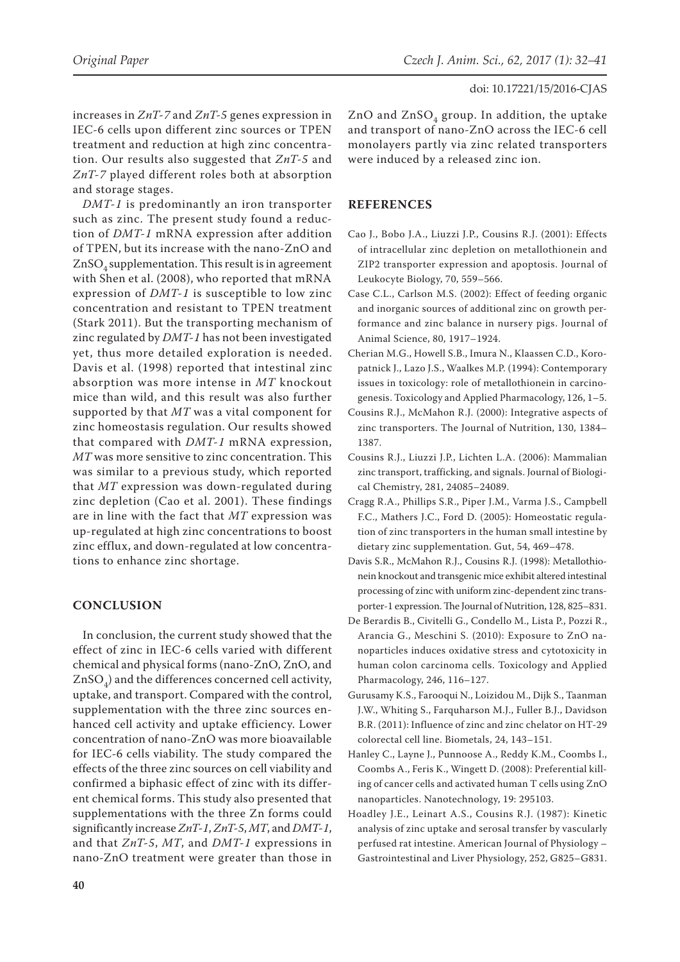increases in *ZnT-7* and *ZnT-5* genes expression in IEC-6 cells upon different zinc sources or TPEN treatment and reduction at high zinc concentration. Our results also suggested that *ZnT-5* and *ZnT-7* played different roles both at absorption and storage stages.

*DMT-1* is predominantly an iron transporter such as zinc. The present study found a reduction of *DMT-1* mRNA expression after addition of TPEN, but its increase with the nano-ZnO and  $ZnSO<sub>4</sub>$  supplementation. This result is in agreement with Shen et al. (2008), who reported that mRNA expression of *DMT-1* is susceptible to low zinc concentration and resistant to TPEN treatment (Stark 2011). But the transporting mechanism of zinc regulated by *DMT-1* has not been investigated yet, thus more detailed exploration is needed. Davis et al. (1998) reported that intestinal zinc absorption was more intense in *MT* knockout mice than wild, and this result was also further supported by that *MT* was a vital component for zinc homeostasis regulation. Our results showed that compared with *DMT-1* mRNA expression, *MT* was more sensitive to zinc concentration. This was similar to a previous study, which reported that *MT* expression was down-regulated during zinc depletion (Cao et al. 2001). These findings are in line with the fact that *MT* expression was up-regulated at high zinc concentrations to boost zinc efflux, and down-regulated at low concentrations to enhance zinc shortage.

# **CONCLUSION**

In conclusion, the current study showed that the effect of zinc in IEC-6 cells varied with different chemical and physical forms (nano-ZnO, ZnO, and  $ZnSO_4$ ) and the differences concerned cell activity, uptake, and transport. Compared with the control, supplementation with the three zinc sources enhanced cell activity and uptake efficiency. Lower concentration of nano-ZnO was more bioavailable for IEC-6 cells viability. The study compared the effects of the three zinc sources on cell viability and confirmed a biphasic effect of zinc with its different chemical forms. This study also presented that supplementations with the three Zn forms could significantly increase *ZnT-1*, *ZnT-5*, *MT*, and *DMT-1*, and that *ZnT-5*, *MT*, and *DMT-1* expressions in nano-ZnO treatment were greater than those in

ZnO and  $ZnSO_4$  group. In addition, the uptake and transport of nano-ZnO across the IEC-6 cell monolayers partly via zinc related transporters were induced by a released zinc ion.

# **REFERENCES**

- Cao J., Bobo J.A., Liuzzi J.P., Cousins R.J. (2001): Effects of intracellular zinc depletion on metallothionein and ZIP2 transporter expression and apoptosis. Journal of Leukocyte Biology, 70, 559–566.
- Case C.L., Carlson M.S. (2002): Effect of feeding organic and inorganic sources of additional zinc on growth performance and zinc balance in nursery pigs. Journal of Animal Science, 80, 1917–1924.
- Cherian M.G., Howell S.B., Imura N., Klaassen C.D., Koropatnick J., Lazo J.S., Waalkes M.P. (1994): Contemporary issues in toxicology: role of metallothionein in carcinogenesis. Toxicology and Applied Pharmacology, 126, 1–5.
- Cousins R.J., McMahon R.J. (2000): Integrative aspects of zinc transporters. The Journal of Nutrition, 130, 1384– 1387.
- Cousins R.J., Liuzzi J.P., Lichten L.A. (2006): Mammalian zinc transport, trafficking, and signals. Journal of Biological Chemistry, 281, 24085–24089.
- Cragg R.A., Phillips S.R., Piper J.M., Varma J.S., Campbell F.C., Mathers J.C., Ford D. (2005): Homeostatic regulation of zinc transporters in the human small intestine by dietary zinc supplementation. Gut, 54, 469–478.
- Davis S.R., McMahon R.J., Cousins R.J. (1998): Metallothionein knockout and transgenic mice exhibit altered intestinal processing of zinc with uniform zinc-dependent zinc transporter-1 expression. The Journal of Nutrition, 128, 825–831.
- De Berardis B., Civitelli G., Condello M., Lista P., Pozzi R., Arancia G., Meschini S. (2010): Exposure to ZnO nanoparticles induces oxidative stress and cytotoxicity in human colon carcinoma cells. Toxicology and Applied Pharmacology, 246, 116–127.
- Gurusamy K.S., Farooqui N., Loizidou M., Dijk S., Taanman J.W., Whiting S., Farquharson M.J., Fuller B.J., Davidson B.R. (2011): Influence of zinc and zinc chelator on HT-29 colorectal cell line. Biometals, 24, 143–151.
- Hanley C., Layne J., Punnoose A., Reddy K.M., Coombs I., Coombs A., Feris K., Wingett D. (2008): Preferential killing of cancer cells and activated human T cells using ZnO nanoparticles. Nanotechnology, 19: 295103.
- Hoadley J.E., Leinart A.S., Cousins R.J. (1987): Kinetic analysis of zinc uptake and serosal transfer by vascularly perfused rat intestine. American Journal of Physiology – Gastrointestinal and Liver Physiology, 252, G825–G831.